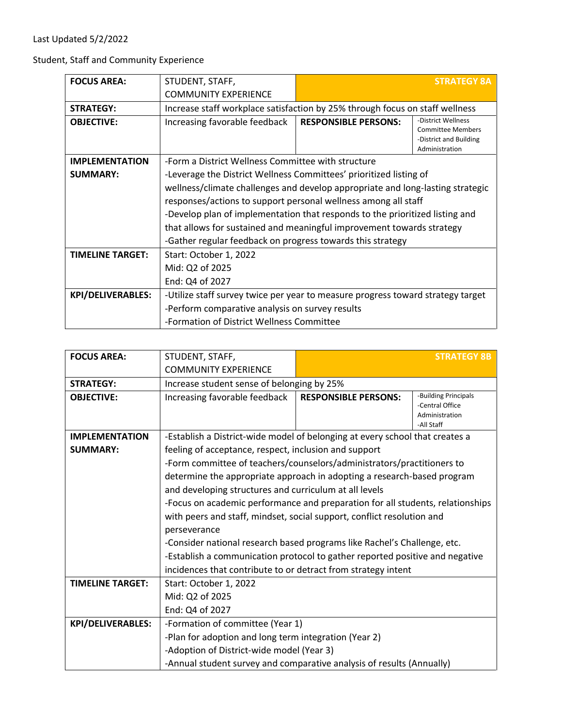Student, Staff and Community Experience

| <b>FOCUS AREA:</b>      | STUDENT, STAFF,                                                                 |                             | <b>STRATEGY 8A</b>                                                                         |
|-------------------------|---------------------------------------------------------------------------------|-----------------------------|--------------------------------------------------------------------------------------------|
|                         | <b>COMMUNITY EXPERIENCE</b>                                                     |                             |                                                                                            |
| <b>STRATEGY:</b>        | Increase staff workplace satisfaction by 25% through focus on staff wellness    |                             |                                                                                            |
| <b>OBJECTIVE:</b>       | Increasing favorable feedback                                                   | <b>RESPONSIBLE PERSONS:</b> | -District Wellness<br><b>Committee Members</b><br>-District and Building<br>Administration |
| <b>IMPLEMENTATION</b>   | -Form a District Wellness Committee with structure                              |                             |                                                                                            |
| <b>SUMMARY:</b>         | -Leverage the District Wellness Committees' prioritized listing of              |                             |                                                                                            |
|                         | wellness/climate challenges and develop appropriate and long-lasting strategic  |                             |                                                                                            |
|                         | responses/actions to support personal wellness among all staff                  |                             |                                                                                            |
|                         | -Develop plan of implementation that responds to the prioritized listing and    |                             |                                                                                            |
|                         | that allows for sustained and meaningful improvement towards strategy           |                             |                                                                                            |
|                         | -Gather regular feedback on progress towards this strategy                      |                             |                                                                                            |
| <b>TIMELINE TARGET:</b> | Start: October 1, 2022                                                          |                             |                                                                                            |
|                         | Mid: Q2 of 2025                                                                 |                             |                                                                                            |
|                         | End: Q4 of 2027                                                                 |                             |                                                                                            |
| KPI/DELIVERABLES:       | -Utilize staff survey twice per year to measure progress toward strategy target |                             |                                                                                            |
|                         | -Perform comparative analysis on survey results                                 |                             |                                                                                            |
|                         | -Formation of District Wellness Committee                                       |                             |                                                                                            |

| <b>FOCUS AREA:</b>       | STUDENT, STAFF,                                                                |                                                       | <b>STRATEGY 8B</b>                                                      |  |
|--------------------------|--------------------------------------------------------------------------------|-------------------------------------------------------|-------------------------------------------------------------------------|--|
|                          | <b>COMMUNITY EXPERIENCE</b>                                                    |                                                       |                                                                         |  |
| <b>STRATEGY:</b>         | Increase student sense of belonging by 25%                                     |                                                       |                                                                         |  |
| <b>OBJECTIVE:</b>        | Increasing favorable feedback                                                  | <b>RESPONSIBLE PERSONS:</b>                           | -Building Principals<br>-Central Office<br>Administration<br>-All Staff |  |
| <b>IMPLEMENTATION</b>    | -Establish a District-wide model of belonging at every school that creates a   |                                                       |                                                                         |  |
| <b>SUMMARY:</b>          | feeling of acceptance, respect, inclusion and support                          |                                                       |                                                                         |  |
|                          | -Form committee of teachers/counselors/administrators/practitioners to         |                                                       |                                                                         |  |
|                          | determine the appropriate approach in adopting a research-based program        |                                                       |                                                                         |  |
|                          | and developing structures and curriculum at all levels                         |                                                       |                                                                         |  |
|                          | -Focus on academic performance and preparation for all students, relationships |                                                       |                                                                         |  |
|                          | with peers and staff, mindset, social support, conflict resolution and         |                                                       |                                                                         |  |
|                          | perseverance                                                                   |                                                       |                                                                         |  |
|                          | -Consider national research based programs like Rachel's Challenge, etc.       |                                                       |                                                                         |  |
|                          | -Establish a communication protocol to gather reported positive and negative   |                                                       |                                                                         |  |
|                          | incidences that contribute to or detract from strategy intent                  |                                                       |                                                                         |  |
| <b>TIMELINE TARGET:</b>  | Start: October 1, 2022                                                         |                                                       |                                                                         |  |
|                          | Mid: Q2 of 2025                                                                |                                                       |                                                                         |  |
|                          | End: Q4 of 2027                                                                |                                                       |                                                                         |  |
| <b>KPI/DELIVERABLES:</b> | -Formation of committee (Year 1)                                               |                                                       |                                                                         |  |
|                          |                                                                                | -Plan for adoption and long term integration (Year 2) |                                                                         |  |
|                          | -Adoption of District-wide model (Year 3)                                      |                                                       |                                                                         |  |
|                          | -Annual student survey and comparative analysis of results (Annually)          |                                                       |                                                                         |  |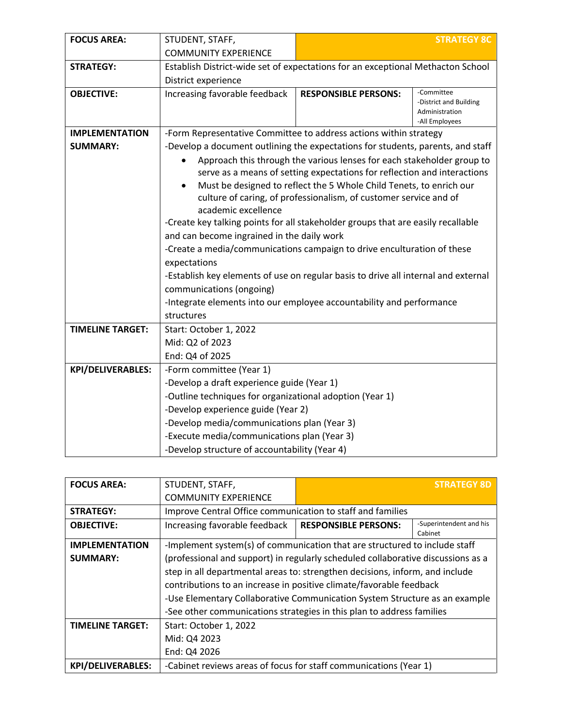| <b>FOCUS AREA:</b>       | STUDENT, STAFF,                                                                                                                |                                                                                    | <b>STRATEGY 8C</b>                                                       |  |  |
|--------------------------|--------------------------------------------------------------------------------------------------------------------------------|------------------------------------------------------------------------------------|--------------------------------------------------------------------------|--|--|
|                          | <b>COMMUNITY EXPERIENCE</b>                                                                                                    |                                                                                    |                                                                          |  |  |
| <b>STRATEGY:</b>         | Establish District-wide set of expectations for an exceptional Methacton School                                                |                                                                                    |                                                                          |  |  |
|                          | District experience                                                                                                            |                                                                                    |                                                                          |  |  |
| <b>OBJECTIVE:</b>        | Increasing favorable feedback                                                                                                  | <b>RESPONSIBLE PERSONS:</b>                                                        | -Committee<br>-District and Building<br>Administration<br>-All Employees |  |  |
| <b>IMPLEMENTATION</b>    | -Form Representative Committee to address actions within strategy                                                              |                                                                                    |                                                                          |  |  |
| <b>SUMMARY:</b>          | -Develop a document outlining the expectations for students, parents, and staff                                                |                                                                                    |                                                                          |  |  |
|                          |                                                                                                                                | Approach this through the various lenses for each stakeholder group to             |                                                                          |  |  |
|                          |                                                                                                                                | serve as a means of setting expectations for reflection and interactions           |                                                                          |  |  |
|                          | $\bullet$                                                                                                                      | Must be designed to reflect the 5 Whole Child Tenets, to enrich our                |                                                                          |  |  |
|                          |                                                                                                                                | culture of caring, of professionalism, of customer service and of                  |                                                                          |  |  |
|                          | academic excellence                                                                                                            |                                                                                    |                                                                          |  |  |
|                          | -Create key talking points for all stakeholder groups that are easily recallable<br>and can become ingrained in the daily work |                                                                                    |                                                                          |  |  |
|                          | -Create a media/communications campaign to drive enculturation of these                                                        |                                                                                    |                                                                          |  |  |
|                          |                                                                                                                                | expectations                                                                       |                                                                          |  |  |
|                          |                                                                                                                                | -Establish key elements of use on regular basis to drive all internal and external |                                                                          |  |  |
|                          | communications (ongoing)                                                                                                       |                                                                                    |                                                                          |  |  |
|                          | -Integrate elements into our employee accountability and performance                                                           |                                                                                    |                                                                          |  |  |
|                          | structures                                                                                                                     |                                                                                    |                                                                          |  |  |
| <b>TIMELINE TARGET:</b>  | Start: October 1, 2022                                                                                                         |                                                                                    |                                                                          |  |  |
|                          | Mid: Q2 of 2023                                                                                                                |                                                                                    |                                                                          |  |  |
|                          | End: Q4 of 2025                                                                                                                |                                                                                    |                                                                          |  |  |
| <b>KPI/DELIVERABLES:</b> | -Form committee (Year 1)                                                                                                       |                                                                                    |                                                                          |  |  |
|                          | -Develop a draft experience guide (Year 1)                                                                                     |                                                                                    |                                                                          |  |  |
|                          | -Outline techniques for organizational adoption (Year 1)                                                                       |                                                                                    |                                                                          |  |  |
|                          | -Develop experience guide (Year 2)                                                                                             |                                                                                    |                                                                          |  |  |
|                          | -Develop media/communications plan (Year 3)                                                                                    |                                                                                    |                                                                          |  |  |
|                          | -Execute media/communications plan (Year 3)                                                                                    |                                                                                    |                                                                          |  |  |
|                          | -Develop structure of accountability (Year 4)                                                                                  |                                                                                    |                                                                          |  |  |

| <b>FOCUS AREA:</b>       | STUDENT, STAFF,                                                            |                                                                                  | <b>STRATEGY 8D</b>                 |  |
|--------------------------|----------------------------------------------------------------------------|----------------------------------------------------------------------------------|------------------------------------|--|
|                          | <b>COMMUNITY EXPERIENCE</b>                                                |                                                                                  |                                    |  |
| <b>STRATEGY:</b>         | Improve Central Office communication to staff and families                 |                                                                                  |                                    |  |
| <b>OBJECTIVE:</b>        | Increasing favorable feedback                                              | <b>RESPONSIBLE PERSONS:</b>                                                      | -Superintendent and his<br>Cabinet |  |
| <b>IMPLEMENTATION</b>    | -Implement system(s) of communication that are structured to include staff |                                                                                  |                                    |  |
| <b>SUMMARY:</b>          |                                                                            | (professional and support) in regularly scheduled collaborative discussions as a |                                    |  |
|                          |                                                                            | step in all departmental areas to: strengthen decisions, inform, and include     |                                    |  |
|                          |                                                                            | contributions to an increase in positive climate/favorable feedback              |                                    |  |
|                          |                                                                            | -Use Elementary Collaborative Communication System Structure as an example       |                                    |  |
|                          | -See other communications strategies in this plan to address families      |                                                                                  |                                    |  |
| <b>TIMELINE TARGET:</b>  | Start: October 1, 2022                                                     |                                                                                  |                                    |  |
|                          | Mid: Q4 2023                                                               |                                                                                  |                                    |  |
|                          | End: Q4 2026                                                               |                                                                                  |                                    |  |
| <b>KPI/DELIVERABLES:</b> | -Cabinet reviews areas of focus for staff communications (Year 1)          |                                                                                  |                                    |  |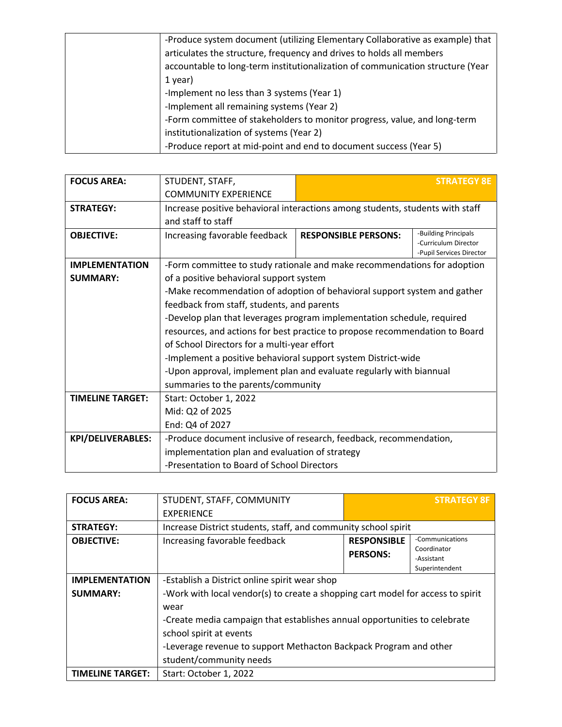| -Produce system document (utilizing Elementary Collaborative as example) that  |
|--------------------------------------------------------------------------------|
| articulates the structure, frequency and drives to holds all members           |
| accountable to long-term institutionalization of communication structure (Year |
| 1 year)                                                                        |
| -Implement no less than 3 systems (Year 1)                                     |
| -Implement all remaining systems (Year 2)                                      |
| -Form committee of stakeholders to monitor progress, value, and long-term      |
| institutionalization of systems (Year 2)                                       |
| -Produce report at mid-point and end to document success (Year 5)              |

| <b>FOCUS AREA:</b>       | STUDENT, STAFF,                                                               |                             | <b>STRATEGY 8E</b>                                                       |
|--------------------------|-------------------------------------------------------------------------------|-----------------------------|--------------------------------------------------------------------------|
|                          | <b>COMMUNITY EXPERIENCE</b>                                                   |                             |                                                                          |
| <b>STRATEGY:</b>         | Increase positive behavioral interactions among students, students with staff |                             |                                                                          |
|                          | and staff to staff                                                            |                             |                                                                          |
| <b>OBJECTIVE:</b>        | Increasing favorable feedback                                                 | <b>RESPONSIBLE PERSONS:</b> | -Building Principals<br>-Curriculum Director<br>-Pupil Services Director |
| <b>IMPLEMENTATION</b>    | -Form committee to study rationale and make recommendations for adoption      |                             |                                                                          |
| <b>SUMMARY:</b>          | of a positive behavioral support system                                       |                             |                                                                          |
|                          | -Make recommendation of adoption of behavioral support system and gather      |                             |                                                                          |
|                          | feedback from staff, students, and parents                                    |                             |                                                                          |
|                          | -Develop plan that leverages program implementation schedule, required        |                             |                                                                          |
|                          | resources, and actions for best practice to propose recommendation to Board   |                             |                                                                          |
|                          | of School Directors for a multi-year effort                                   |                             |                                                                          |
|                          | -Implement a positive behavioral support system District-wide                 |                             |                                                                          |
|                          | -Upon approval, implement plan and evaluate regularly with biannual           |                             |                                                                          |
|                          | summaries to the parents/community                                            |                             |                                                                          |
| <b>TIMELINE TARGET:</b>  | Start: October 1, 2022                                                        |                             |                                                                          |
|                          | Mid: Q2 of 2025                                                               |                             |                                                                          |
|                          | End: Q4 of 2027                                                               |                             |                                                                          |
| <b>KPI/DELIVERABLES:</b> | -Produce document inclusive of research, feedback, recommendation,            |                             |                                                                          |
|                          | implementation plan and evaluation of strategy                                |                             |                                                                          |
|                          | -Presentation to Board of School Directors                                    |                             |                                                                          |

| <b>FOCUS AREA:</b>      | STUDENT, STAFF, COMMUNITY                                                                            |                                       | <b>STRATEGY 8F</b>                                             |
|-------------------------|------------------------------------------------------------------------------------------------------|---------------------------------------|----------------------------------------------------------------|
|                         | <b>EXPERIENCE</b>                                                                                    |                                       |                                                                |
| <b>STRATEGY:</b>        | Increase District students, staff, and community school spirit                                       |                                       |                                                                |
| <b>OBJECTIVE:</b>       | Increasing favorable feedback                                                                        | <b>RESPONSIBLE</b><br><b>PERSONS:</b> | -Communications<br>Coordinator<br>-Assistant<br>Superintendent |
| <b>IMPLEMENTATION</b>   | -Establish a District online spirit wear shop                                                        |                                       |                                                                |
| <b>SUMMARY:</b>         | -Work with local vendor(s) to create a shopping cart model for access to spirit<br>wear              |                                       |                                                                |
|                         | -Create media campaign that establishes annual opportunities to celebrate<br>school spirit at events |                                       |                                                                |
|                         | -Leverage revenue to support Methacton Backpack Program and other                                    |                                       |                                                                |
|                         | student/community needs                                                                              |                                       |                                                                |
| <b>TIMELINE TARGET:</b> | Start: October 1, 2022                                                                               |                                       |                                                                |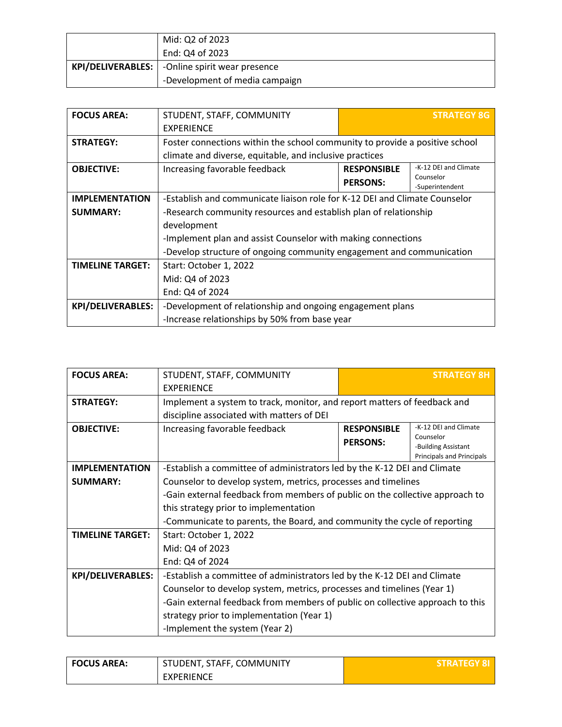|                   | Mid: Q2 of 2023                |
|-------------------|--------------------------------|
|                   | End: Q4 of 2023                |
| KPI/DELIVERABLES: | -Online spirit wear presence   |
|                   | -Development of media campaign |

| <b>FOCUS AREA:</b>       | STUDENT, STAFF, COMMUNITY                                                   |                    | <b>STRATEGY 8G</b>           |
|--------------------------|-----------------------------------------------------------------------------|--------------------|------------------------------|
|                          | <b>EXPERIENCE</b>                                                           |                    |                              |
| <b>STRATEGY:</b>         | Foster connections within the school community to provide a positive school |                    |                              |
|                          | climate and diverse, equitable, and inclusive practices                     |                    |                              |
| <b>OBJECTIVE:</b>        | Increasing favorable feedback                                               | <b>RESPONSIBLE</b> | -K-12 DEI and Climate        |
|                          |                                                                             | <b>PERSONS:</b>    | Counselor<br>-Superintendent |
| <b>IMPLEMENTATION</b>    | -Establish and communicate liaison role for K-12 DEI and Climate Counselor  |                    |                              |
| <b>SUMMARY:</b>          | -Research community resources and establish plan of relationship            |                    |                              |
|                          | development                                                                 |                    |                              |
|                          | -Implement plan and assist Counselor with making connections                |                    |                              |
|                          | -Develop structure of ongoing community engagement and communication        |                    |                              |
| <b>TIMELINE TARGET:</b>  | Start: October 1, 2022                                                      |                    |                              |
|                          | Mid: Q4 of 2023                                                             |                    |                              |
|                          | End: Q4 of 2024                                                             |                    |                              |
| <b>KPI/DELIVERABLES:</b> | -Development of relationship and ongoing engagement plans                   |                    |                              |
|                          | -Increase relationships by 50% from base year                               |                    |                              |

| <b>FOCUS AREA:</b>       | STUDENT, STAFF, COMMUNITY                                                     |                    | <b>STRATEGY 8H</b>               |
|--------------------------|-------------------------------------------------------------------------------|--------------------|----------------------------------|
|                          | <b>EXPERIENCE</b>                                                             |                    |                                  |
| <b>STRATEGY:</b>         | Implement a system to track, monitor, and report matters of feedback and      |                    |                                  |
|                          | discipline associated with matters of DEI                                     |                    |                                  |
| <b>OBJECTIVE:</b>        | Increasing favorable feedback                                                 | <b>RESPONSIBLE</b> | -K-12 DEI and Climate            |
|                          |                                                                               | <b>PERSONS:</b>    | Counselor<br>-Building Assistant |
|                          |                                                                               |                    | <b>Principals and Principals</b> |
| <b>IMPLEMENTATION</b>    | -Establish a committee of administrators led by the K-12 DEI and Climate      |                    |                                  |
| <b>SUMMARY:</b>          | Counselor to develop system, metrics, processes and timelines                 |                    |                                  |
|                          | -Gain external feedback from members of public on the collective approach to  |                    |                                  |
|                          | this strategy prior to implementation                                         |                    |                                  |
|                          | -Communicate to parents, the Board, and community the cycle of reporting      |                    |                                  |
| <b>TIMELINE TARGET:</b>  | Start: October 1, 2022                                                        |                    |                                  |
|                          | Mid: Q4 of 2023                                                               |                    |                                  |
|                          | End: Q4 of 2024                                                               |                    |                                  |
| <b>KPI/DELIVERABLES:</b> | -Establish a committee of administrators led by the K-12 DEI and Climate      |                    |                                  |
|                          | Counselor to develop system, metrics, processes and timelines (Year 1)        |                    |                                  |
|                          | -Gain external feedback from members of public on collective approach to this |                    |                                  |
|                          | strategy prior to implementation (Year 1)                                     |                    |                                  |
|                          | -Implement the system (Year 2)                                                |                    |                                  |

| <b>FOCUS AREA:</b> | STUDENT, STAFF, COMMUNITY | <b>STRATEGY 8</b> |
|--------------------|---------------------------|-------------------|
|                    | <b>EXPERIENCE</b>         |                   |